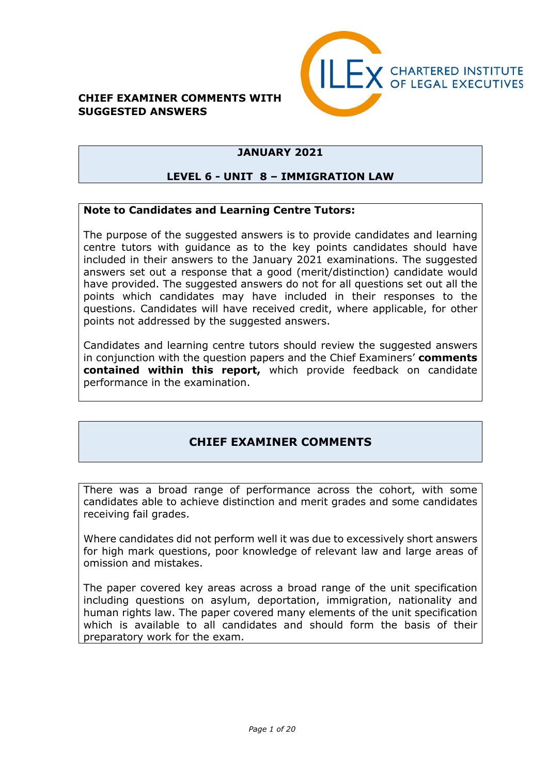### **CHIEF EXAMINER COMMENTS WITH SUGGESTED ANSWERS**



# **JANUARY 2021**

## **LEVEL 6 - UNIT 8 – IMMIGRATION LAW**

### **Note to Candidates and Learning Centre Tutors:**

The purpose of the suggested answers is to provide candidates and learning centre tutors with guidance as to the key points candidates should have included in their answers to the January 2021 examinations. The suggested answers set out a response that a good (merit/distinction) candidate would have provided. The suggested answers do not for all questions set out all the points which candidates may have included in their responses to the questions. Candidates will have received credit, where applicable, for other points not addressed by the suggested answers.

Candidates and learning centre tutors should review the suggested answers in conjunction with the question papers and the Chief Examiners' **comments contained within this report,** which provide feedback on candidate performance in the examination.

## **CHIEF EXAMINER COMMENTS**

There was a broad range of performance across the cohort, with some candidates able to achieve distinction and merit grades and some candidates receiving fail grades.

Where candidates did not perform well it was due to excessively short answers for high mark questions, poor knowledge of relevant law and large areas of omission and mistakes.

The paper covered key areas across a broad range of the unit specification including questions on asylum, deportation, immigration, nationality and human rights law. The paper covered many elements of the unit specification which is available to all candidates and should form the basis of their preparatory work for the exam.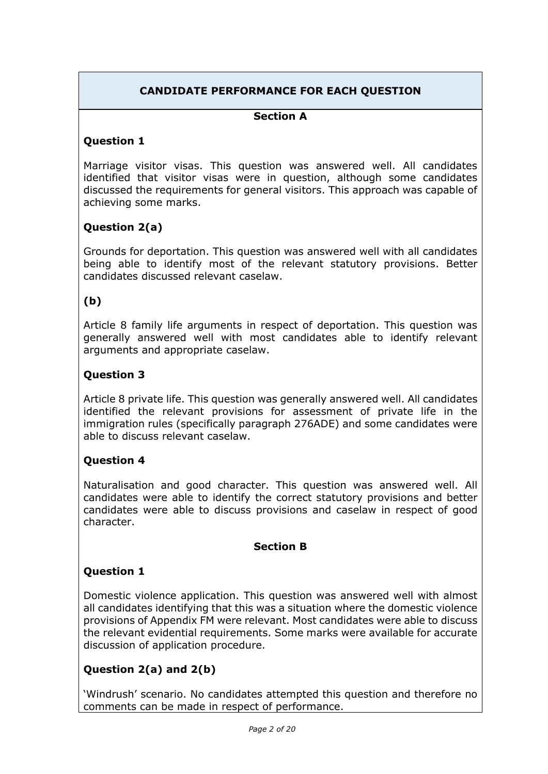# **CANDIDATE PERFORMANCE FOR EACH QUESTION**

## **Section A**

### **Question 1**

Marriage visitor visas. This question was answered well. All candidates identified that visitor visas were in question, although some candidates discussed the requirements for general visitors. This approach was capable of achieving some marks.

## **Question 2(a)**

Grounds for deportation. This question was answered well with all candidates being able to identify most of the relevant statutory provisions. Better candidates discussed relevant caselaw.

## **(b)**

Article 8 family life arguments in respect of deportation. This question was generally answered well with most candidates able to identify relevant arguments and appropriate caselaw.

### **Question 3**

Article 8 private life. This question was generally answered well. All candidates identified the relevant provisions for assessment of private life in the immigration rules (specifically paragraph 276ADE) and some candidates were able to discuss relevant caselaw.

### **Question 4**

Naturalisation and good character. This question was answered well. All candidates were able to identify the correct statutory provisions and better candidates were able to discuss provisions and caselaw in respect of good character.

### **Section B**

### **Question 1**

Domestic violence application. This question was answered well with almost all candidates identifying that this was a situation where the domestic violence provisions of Appendix FM were relevant. Most candidates were able to discuss the relevant evidential requirements. Some marks were available for accurate discussion of application procedure.

## **Question 2(a) and 2(b)**

'Windrush' scenario. No candidates attempted this question and therefore no comments can be made in respect of performance.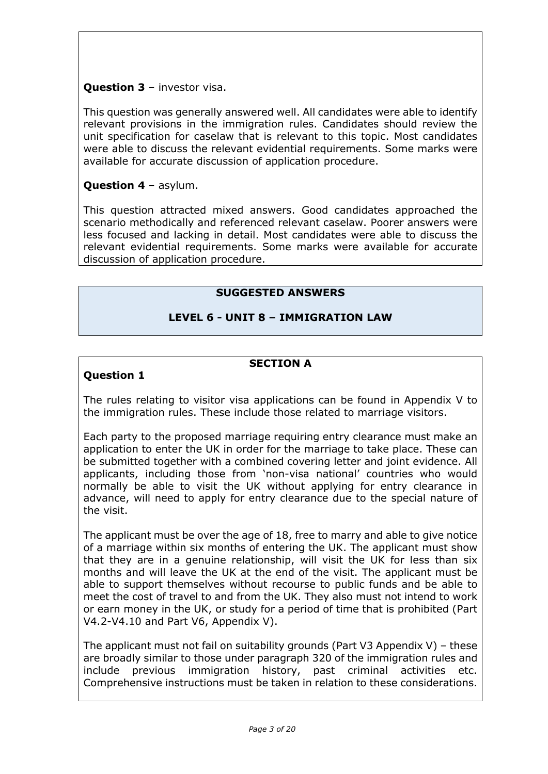## **Question 3** – investor visa.

This question was generally answered well. All candidates were able to identify relevant provisions in the immigration rules. Candidates should review the unit specification for caselaw that is relevant to this topic. Most candidates were able to discuss the relevant evidential requirements. Some marks were available for accurate discussion of application procedure.

### **Question 4** – asylum.

This question attracted mixed answers. Good candidates approached the scenario methodically and referenced relevant caselaw. Poorer answers were less focused and lacking in detail. Most candidates were able to discuss the relevant evidential requirements. Some marks were available for accurate discussion of application procedure.

## **SUGGESTED ANSWERS**

## **LEVEL 6 - UNIT 8 – IMMIGRATION LAW**

### **SECTION A**

## **Question 1**

The rules relating to visitor visa applications can be found in Appendix V to the immigration rules. These include those related to marriage visitors.

Each party to the proposed marriage requiring entry clearance must make an application to enter the UK in order for the marriage to take place. These can be submitted together with a combined covering letter and joint evidence. All applicants, including those from 'non-visa national' countries who would normally be able to visit the UK without applying for entry clearance in advance, will need to apply for entry clearance due to the special nature of the visit.

The applicant must be over the age of 18, free to marry and able to give notice of a marriage within six months of entering the UK. The applicant must show that they are in a genuine relationship, will visit the UK for less than six months and will leave the UK at the end of the visit. The applicant must be able to support themselves without recourse to public funds and be able to meet the cost of travel to and from the UK. They also must not intend to work or earn money in the UK, or study for a period of time that is prohibited (Part V4.2-V4.10 and Part V6, Appendix V).

The applicant must not fail on suitability grounds (Part V3 Appendix V) – these are broadly similar to those under paragraph 320 of the immigration rules and include previous immigration history, past criminal activities etc. Comprehensive instructions must be taken in relation to these considerations.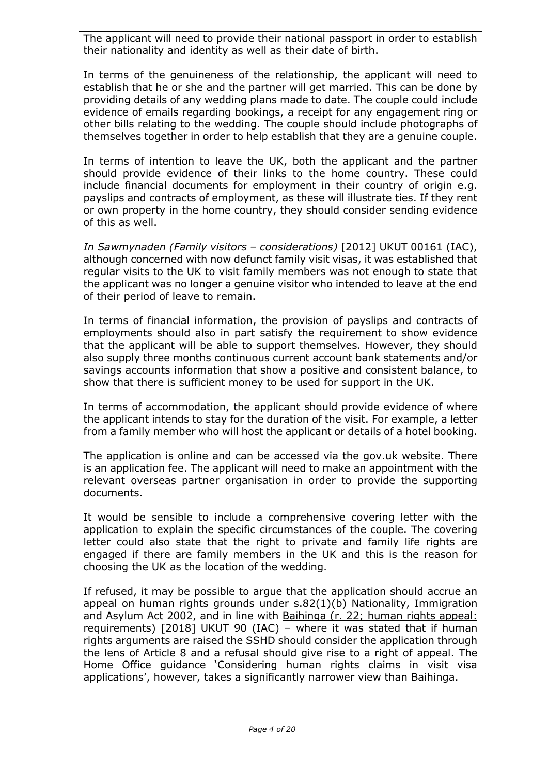The applicant will need to provide their national passport in order to establish their nationality and identity as well as their date of birth.

In terms of the genuineness of the relationship, the applicant will need to establish that he or she and the partner will get married. This can be done by providing details of any wedding plans made to date. The couple could include evidence of emails regarding bookings, a receipt for any engagement ring or other bills relating to the wedding. The couple should include photographs of themselves together in order to help establish that they are a genuine couple.

In terms of intention to leave the UK, both the applicant and the partner should provide evidence of their links to the home country. These could include financial documents for employment in their country of origin e.g. payslips and contracts of employment, as these will illustrate ties. If they rent or own property in the home country, they should consider sending evidence of this as well.

*In Sawmynaden (Family visitors – considerations)* [2012] UKUT 00161 (IAC), although concerned with now defunct family visit visas, it was established that regular visits to the UK to visit family members was not enough to state that the applicant was no longer a genuine visitor who intended to leave at the end of their period of leave to remain.

In terms of financial information, the provision of payslips and contracts of employments should also in part satisfy the requirement to show evidence that the applicant will be able to support themselves. However, they should also supply three months continuous current account bank statements and/or savings accounts information that show a positive and consistent balance, to show that there is sufficient money to be used for support in the UK.

In terms of accommodation, the applicant should provide evidence of where the applicant intends to stay for the duration of the visit. For example, a letter from a family member who will host the applicant or details of a hotel booking.

The application is online and can be accessed via the gov.uk website. There is an application fee. The applicant will need to make an appointment with the relevant overseas partner organisation in order to provide the supporting documents.

It would be sensible to include a comprehensive covering letter with the application to explain the specific circumstances of the couple. The covering letter could also state that the right to private and family life rights are engaged if there are family members in the UK and this is the reason for choosing the UK as the location of the wedding.

If refused, it may be possible to argue that the application should accrue an appeal on human rights grounds under s.82(1)(b) Nationality, Immigration and Asylum Act 2002, and in line with Baihinga (r. 22; human rights appeal: requirements) [2018] UKUT 90 (IAC) – where it was stated that if human rights arguments are raised the SSHD should consider the application through the lens of Article 8 and a refusal should give rise to a right of appeal. The Home Office guidance 'Considering human rights claims in visit visa applications', however, takes a significantly narrower view than Baihinga.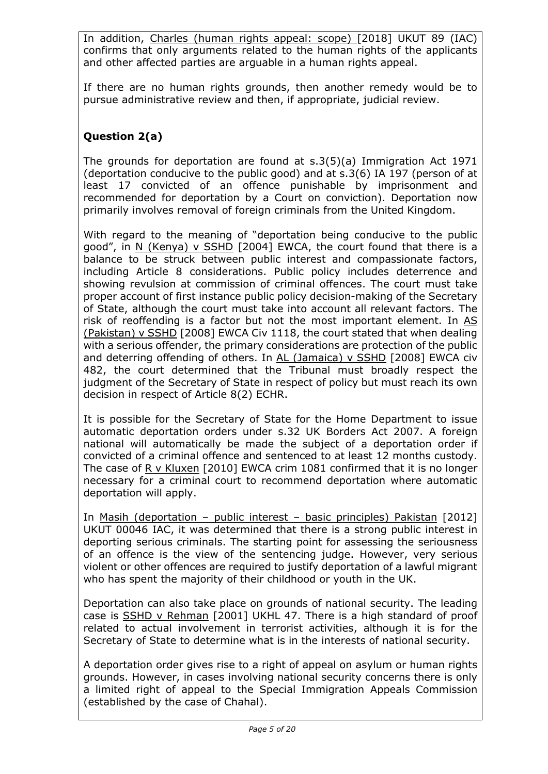In addition, Charles (human rights appeal: scope) [\[2018\] UKUT 89 \(IAC\)](http://www.bailii.org/uk/cases/UKUT/IAC/2018/89.html) confirms that only arguments related to the human rights of the applicants and other affected parties are arguable in a human rights appeal.

If there are no human rights grounds, then another remedy would be to pursue administrative review and then, if appropriate, judicial review.

# **Question 2(a)**

The grounds for deportation are found at s.3(5)(a) Immigration Act 1971 (deportation conducive to the public good) and at s.3(6) IA 197 (person of at least 17 convicted of an offence punishable by imprisonment and recommended for deportation by a Court on conviction). Deportation now primarily involves removal of foreign criminals from the United Kingdom.

With regard to the meaning of "deportation being conducive to the public good", in N (Kenya) v SSHD [2004] EWCA, the court found that there is a balance to be struck between public interest and compassionate factors, including Article 8 considerations. Public policy includes deterrence and showing revulsion at commission of criminal offences. The court must take proper account of first instance public policy decision-making of the Secretary of State, although the court must take into account all relevant factors. The risk of reoffending is a factor but not the most important element. In AS (Pakistan) v SSHD [2008] EWCA Civ 1118, the court stated that when dealing with a serious offender, the primary considerations are protection of the public and deterring offending of others. In AL (Jamaica) v SSHD [2008] EWCA civ 482, the court determined that the Tribunal must broadly respect the judgment of the Secretary of State in respect of policy but must reach its own decision in respect of Article 8(2) ECHR.

It is possible for the Secretary of State for the Home Department to issue automatic deportation orders under s.32 UK Borders Act 2007. A foreign national will automatically be made the subject of a deportation order if convicted of a criminal offence and sentenced to at least 12 months custody. The case of R v Kluxen [2010] EWCA crim 1081 confirmed that it is no longer necessary for a criminal court to recommend deportation where automatic deportation will apply.

In Masih (deportation – public interest – basic principles) Pakistan [2012] UKUT 00046 IAC, it was determined that there is a strong public interest in deporting serious criminals. The starting point for assessing the seriousness of an offence is the view of the sentencing judge. However, very serious violent or other offences are required to justify deportation of a lawful migrant who has spent the majority of their childhood or youth in the UK.

Deportation can also take place on grounds of national security. The leading case is SSHD v Rehman [2001] UKHL 47. There is a high standard of proof related to actual involvement in terrorist activities, although it is for the Secretary of State to determine what is in the interests of national security.

A deportation order gives rise to a right of appeal on asylum or human rights grounds. However, in cases involving national security concerns there is only a limited right of appeal to the Special Immigration Appeals Commission (established by the case of Chahal).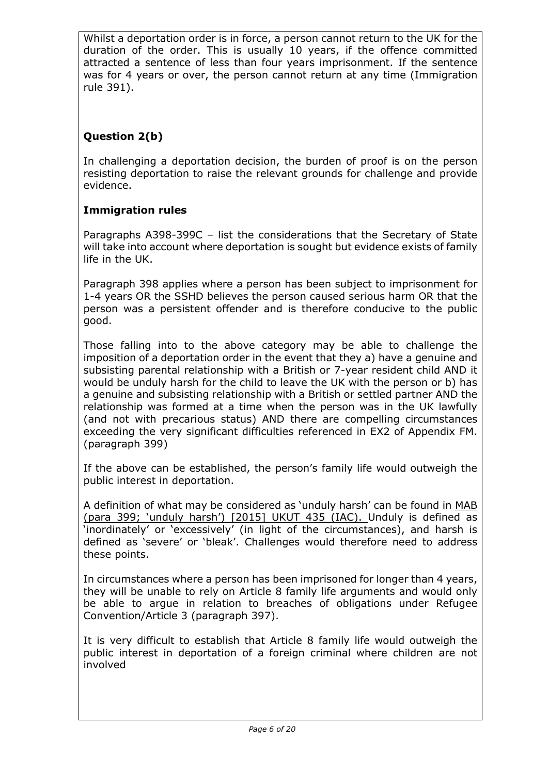Whilst a deportation order is in force, a person cannot return to the UK for the duration of the order. This is usually 10 years, if the offence committed attracted a sentence of less than four years imprisonment. If the sentence was for 4 years or over, the person cannot return at any time (Immigration rule 391).

# **Question 2(b)**

In challenging a deportation decision, the burden of proof is on the person resisting deportation to raise the relevant grounds for challenge and provide evidence.

# **Immigration rules**

Paragraphs A398-399C – list the considerations that the Secretary of State will take into account where deportation is sought but evidence exists of family life in the UK.

Paragraph 398 applies where a person has been subject to imprisonment for 1-4 years OR the SSHD believes the person caused serious harm OR that the person was a persistent offender and is therefore conducive to the public good.

Those falling into to the above category may be able to challenge the imposition of a deportation order in the event that they a) have a genuine and subsisting parental relationship with a British or 7-year resident child AND it would be unduly harsh for the child to leave the UK with the person or b) has a genuine and subsisting relationship with a British or settled partner AND the relationship was formed at a time when the person was in the UK lawfully (and not with precarious status) AND there are compelling circumstances exceeding the very significant difficulties referenced in EX2 of Appendix FM. (paragraph 399)

If the above can be established, the person's family life would outweigh the public interest in deportation.

A definition of what may be considered as 'unduly harsh' can be found in MAB (para 399; 'unduly harsh') [2015] UKUT 435 (IAC). Unduly is defined as 'inordinately' or 'excessively' (in light of the circumstances), and harsh is defined as 'severe' or 'bleak'. Challenges would therefore need to address these points.

In circumstances where a person has been imprisoned for longer than 4 years, they will be unable to rely on Article 8 family life arguments and would only be able to argue in relation to breaches of obligations under Refugee Convention/Article 3 (paragraph 397).

It is very difficult to establish that Article 8 family life would outweigh the public interest in deportation of a foreign criminal where children are not involved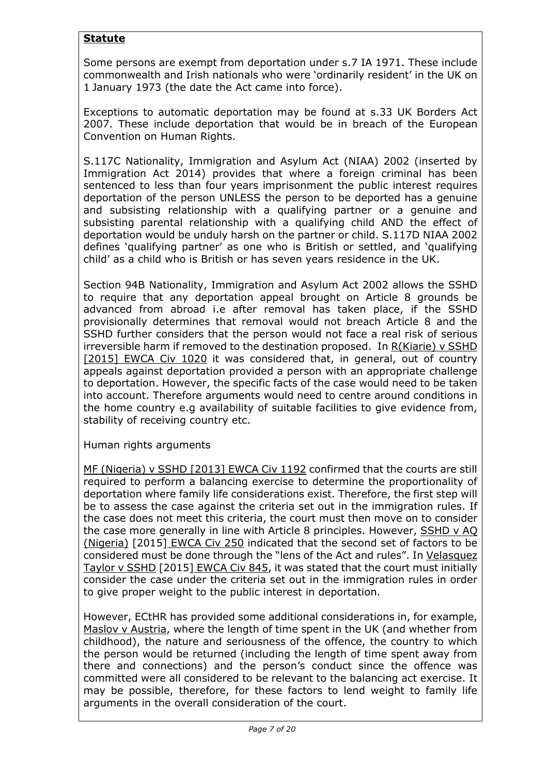# **Statute**

Some persons are exempt from deportation under s.7 IA 1971. These include commonwealth and Irish nationals who were 'ordinarily resident' in the UK on 1 January 1973 (the date the Act came into force).

Exceptions to automatic deportation may be found at s.33 UK Borders Act 2007. These include deportation that would be in breach of the European Convention on Human Rights.

S.117C Nationality, Immigration and Asylum Act (NIAA) 2002 (inserted by Immigration Act 2014) provides that where a foreign criminal has been sentenced to less than four years imprisonment the public interest requires deportation of the person UNLESS the person to be deported has a genuine and subsisting relationship with a qualifying partner or a genuine and subsisting parental relationship with a qualifying child AND the effect of deportation would be unduly harsh on the partner or child. S.117D NIAA 2002 defines 'qualifying partner' as one who is British or settled, and 'qualifying child' as a child who is British or has seven years residence in the UK.

Section 94B Nationality, Immigration and Asylum Act 2002 allows the SSHD to require that any deportation appeal brought on Article 8 grounds be advanced from abroad i.e after removal has taken place, if the SSHD provisionally determines that removal would not breach Article 8 and the SSHD further considers that the person would not face a real risk of serious irreversible harm if removed to the destination proposed. In R(Kiarie) v SSHD [2015] EWCA Civ 1020 it was considered that, in general, out of country appeals against deportation provided a person with an appropriate challenge to deportation. However, the specific facts of the case would need to be taken into account. Therefore arguments would need to centre around conditions in the home country e.g availability of suitable facilities to give evidence from, stability of receiving country etc.

Human rights arguments

MF (Nigeria) v SSHD [2013] EWCA Civ 1192 confirmed that the courts are still required to perform a balancing exercise to determine the proportionality of deportation where family life considerations exist. Therefore, the first step will be to assess the case against the criteria set out in the immigration rules. If the case does not meet this criteria, the court must then move on to consider the case more generally in line with Article 8 principles. However, SSHD v AQ (Nigeria) [2015] EWCA Civ 250 indicated that the second set of factors to be considered must be done through the "lens of the Act and rules". In Velasquez Taylor v SSHD [2015] EWCA Civ 845, it was stated that the court must initially consider the case under the criteria set out in the immigration rules in order to give proper weight to the public interest in deportation.

However, ECtHR has provided some additional considerations in, for example, Maslov v Austria, where the length of time spent in the UK (and whether from childhood), the nature and seriousness of the offence, the country to which the person would be returned (including the length of time spent away from there and connections) and the person's conduct since the offence was committed were all considered to be relevant to the balancing act exercise. It may be possible, therefore, for these factors to lend weight to family life arguments in the overall consideration of the court.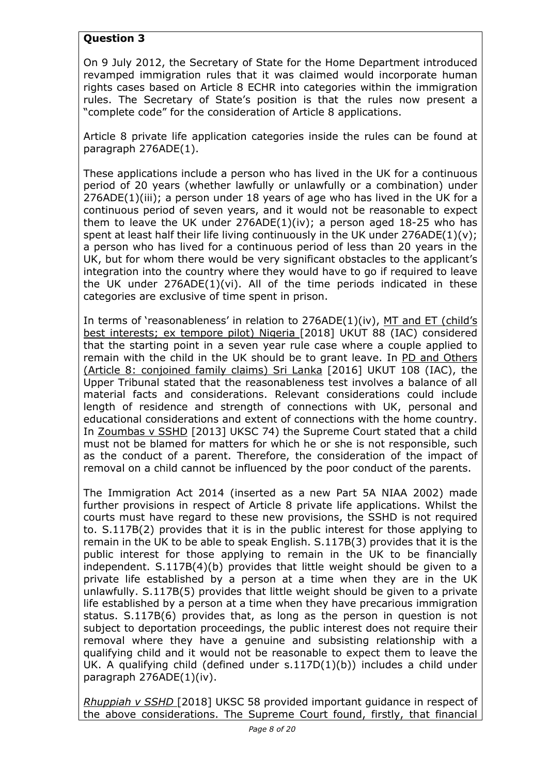# **Question 3**

On 9 July 2012, the Secretary of State for the Home Department introduced revamped immigration rules that it was claimed would incorporate human rights cases based on Article 8 ECHR into categories within the immigration rules. The Secretary of State's position is that the rules now present a "complete code" for the consideration of Article 8 applications.

Article 8 private life application categories inside the rules can be found at paragraph 276ADE(1).

These applications include a person who has lived in the UK for a continuous period of 20 years (whether lawfully or unlawfully or a combination) under 276ADE(1)(iii); a person under 18 years of age who has lived in the UK for a continuous period of seven years, and it would not be reasonable to expect them to leave the UK under  $276ADE(1)(iv)$ ; a person aged 18-25 who has spent at least half their life living continuously in the UK under  $276ADE(1)(v)$ ; a person who has lived for a continuous period of less than 20 years in the UK, but for whom there would be very significant obstacles to the applicant's integration into the country where they would have to go if required to leave the UK under 276ADE(1)(vi). All of the time periods indicated in these categories are exclusive of time spent in prison.

In terms of 'reasonableness' in relation to 276ADE(1)(iv), MT and ET (child's best interests; ex tempore pilot) Nigeria [2018] UKUT 88 (IAC) considered that the starting point in a seven year rule case where a couple applied to remain with the child in the UK should be to grant leave. In PD and Others (Article 8: conjoined family claims) Sri Lanka [2016] UKUT 108 (IAC), the Upper Tribunal stated that the reasonableness test involves a balance of all material facts and considerations. Relevant considerations could include length of residence and strength of connections with UK, personal and educational considerations and extent of connections with the home country. In Zoumbas v SSHD [2013] UKSC 74) the Supreme Court stated that a child must not be blamed for matters for which he or she is not responsible, such as the conduct of a parent. Therefore, the consideration of the impact of removal on a child cannot be influenced by the poor conduct of the parents.

The Immigration Act 2014 (inserted as a new Part 5A NIAA 2002) made further provisions in respect of Article 8 private life applications. Whilst the courts must have regard to these new provisions, the SSHD is not required to. S.117B(2) provides that it is in the public interest for those applying to remain in the UK to be able to speak English. S.117B(3) provides that it is the public interest for those applying to remain in the UK to be financially independent. S.117B(4)(b) provides that little weight should be given to a private life established by a person at a time when they are in the UK unlawfully. S.117B(5) provides that little weight should be given to a private life established by a person at a time when they have precarious immigration status. S.117B(6) provides that, as long as the person in question is not subject to deportation proceedings, the public interest does not require their removal where they have a genuine and subsisting relationship with a qualifying child and it would not be reasonable to expect them to leave the UK. A qualifying child (defined under s.117D(1)(b)) includes a child under paragraph 276ADE(1)(iv).

*Rhuppiah v SSHD* [2018] UKSC 58 provided important guidance in respect of the above considerations. The Supreme Court found, firstly, that financial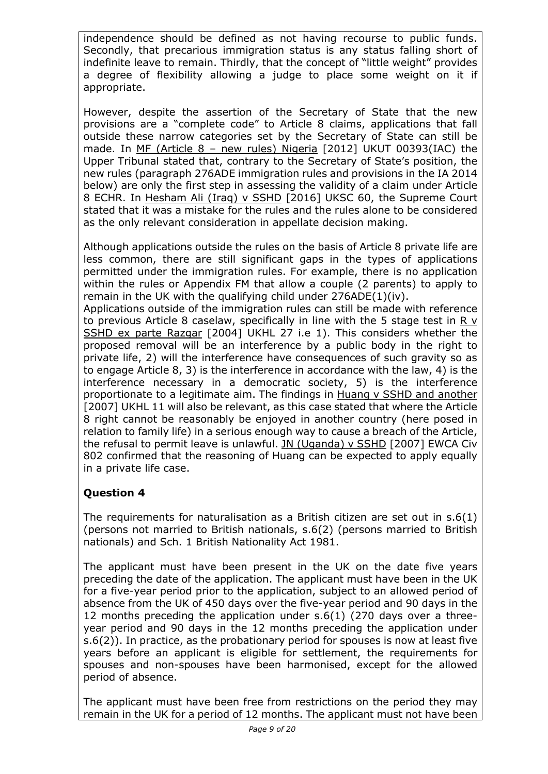independence should be defined as not having recourse to public funds. Secondly, that precarious immigration status is any status falling short of indefinite leave to remain. Thirdly, that the concept of "little weight" provides a degree of flexibility allowing a judge to place some weight on it if appropriate.

However, despite the assertion of the Secretary of State that the new provisions are a "complete code" to Article 8 claims, applications that fall outside these narrow categories set by the Secretary of State can still be made. In MF (Article 8 – new rules) Nigeria [2012] UKUT 00393(IAC) the Upper Tribunal stated that, contrary to the Secretary of State's position, the new rules (paragraph 276ADE immigration rules and provisions in the IA 2014 below) are only the first step in assessing the validity of a claim under Article 8 ECHR. In Hesham Ali (Iraq) v SSHD [2016] UKSC 60, the Supreme Court stated that it was a mistake for the rules and the rules alone to be considered as the only relevant consideration in appellate decision making.

Although applications outside the rules on the basis of Article 8 private life are less common, there are still significant gaps in the types of applications permitted under the immigration rules. For example, there is no application within the rules or Appendix FM that allow a couple (2 parents) to apply to remain in the UK with the qualifying child under 276ADE(1)(iv).

Applications outside of the immigration rules can still be made with reference to previous Article 8 caselaw, specifically in line with the 5 stage test in R v SSHD ex parte Razgar [2004] UKHL 27 i.e 1). This considers whether the proposed removal will be an interference by a public body in the right to private life, 2) will the interference have consequences of such gravity so as to engage Article 8, 3) is the interference in accordance with the law, 4) is the interference necessary in a democratic society, 5) is the interference proportionate to a legitimate aim. The findings in Huang v SSHD and another [2007] UKHL 11 will also be relevant, as this case stated that where the Article 8 right cannot be reasonably be enjoyed in another country (here posed in relation to family life) in a serious enough way to cause a breach of the Article, the refusal to permit leave is unlawful. JN (Uganda) v SSHD [2007] EWCA Civ 802 confirmed that the reasoning of Huang can be expected to apply equally in a private life case.

## **Question 4**

The requirements for naturalisation as a British citizen are set out in s.6(1) (persons not married to British nationals, s.6(2) (persons married to British nationals) and Sch. 1 British Nationality Act 1981.

The applicant must have been present in the UK on the date five years preceding the date of the application. The applicant must have been in the UK for a five-year period prior to the application, subject to an allowed period of absence from the UK of 450 days over the five-year period and 90 days in the 12 months preceding the application under s.6(1) (270 days over a threeyear period and 90 days in the 12 months preceding the application under s.6(2)). In practice, as the probationary period for spouses is now at least five years before an applicant is eligible for settlement, the requirements for spouses and non-spouses have been harmonised, except for the allowed period of absence.

The applicant must have been free from restrictions on the period they may remain in the UK for a period of 12 months. The applicant must not have been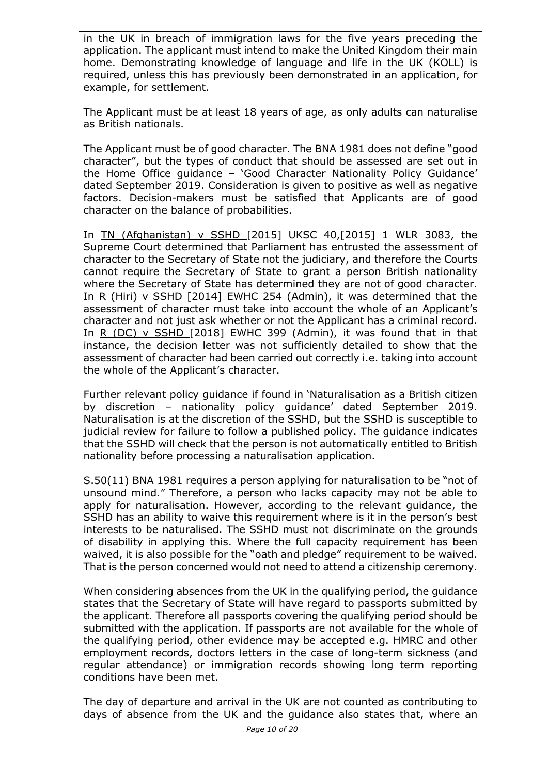in the UK in breach of immigration laws for the five years preceding the application. The applicant must intend to make the United Kingdom their main home. Demonstrating knowledge of language and life in the UK (KOLL) is required, unless this has previously been demonstrated in an application, for example, for settlement.

The Applicant must be at least 18 years of age, as only adults can naturalise as British nationals.

The Applicant must be of good character. The BNA 1981 does not define "good character", but the types of conduct that should be assessed are set out in the Home Office guidance – 'Good Character Nationality Policy Guidance' dated September 2019. Consideration is given to positive as well as negative factors. Decision-makers must be satisfied that Applicants are of good character on the balance of probabilities.

In TN (Afghanistan) v SSHD [2015] UKSC 40,[2015] 1 WLR 3083, the Supreme Court determined that Parliament has entrusted the assessment of character to the Secretary of State not the judiciary, and therefore the Courts cannot require the Secretary of State to grant a person British nationality where the Secretary of State has determined they are not of good character. In R (Hiri) v SSHD [2014] EWHC 254 (Admin), it was determined that the assessment of character must take into account the whole of an Applicant's character and not just ask whether or not the Applicant has a criminal record. In R (DC) v SSHD [2018] EWHC 399 (Admin), it was found that in that instance, the decision letter was not sufficiently detailed to show that the assessment of character had been carried out correctly i.e. taking into account the whole of the Applicant's character.

Further relevant policy guidance if found in 'Naturalisation as a British citizen by discretion – nationality policy guidance' dated September 2019. Naturalisation is at the discretion of the SSHD, but the SSHD is susceptible to judicial review for failure to follow a published policy. The guidance indicates that the SSHD will check that the person is not automatically entitled to British nationality before processing a naturalisation application.

S.50(11) BNA 1981 requires a person applying for naturalisation to be "not of unsound mind." Therefore, a person who lacks capacity may not be able to apply for naturalisation. However, according to the relevant guidance, the SSHD has an ability to waive this requirement where is it in the person's best interests to be naturalised. The SSHD must not discriminate on the grounds of disability in applying this. Where the full capacity requirement has been waived, it is also possible for the "oath and pledge" requirement to be waived. That is the person concerned would not need to attend a citizenship ceremony.

When considering absences from the UK in the qualifying period, the guidance states that the Secretary of State will have regard to passports submitted by the applicant. Therefore all passports covering the qualifying period should be submitted with the application. If passports are not available for the whole of the qualifying period, other evidence may be accepted e.g. HMRC and other employment records, doctors letters in the case of long-term sickness (and regular attendance) or immigration records showing long term reporting conditions have been met.

The day of departure and arrival in the UK are not counted as contributing to days of absence from the UK and the guidance also states that, where an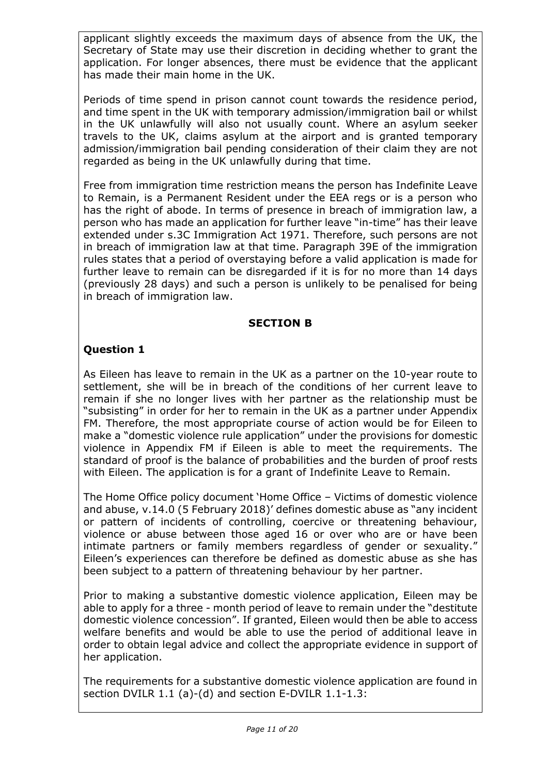applicant slightly exceeds the maximum days of absence from the UK, the Secretary of State may use their discretion in deciding whether to grant the application. For longer absences, there must be evidence that the applicant has made their main home in the UK.

Periods of time spend in prison cannot count towards the residence period, and time spent in the UK with temporary admission/immigration bail or whilst in the UK unlawfully will also not usually count. Where an asylum seeker travels to the UK, claims asylum at the airport and is granted temporary admission/immigration bail pending consideration of their claim they are not regarded as being in the UK unlawfully during that time.

Free from immigration time restriction means the person has Indefinite Leave to Remain, is a Permanent Resident under the EEA regs or is a person who has the right of abode. In terms of presence in breach of immigration law, a person who has made an application for further leave "in-time" has their leave extended under s.3C Immigration Act 1971. Therefore, such persons are not in breach of immigration law at that time. Paragraph 39E of the immigration rules states that a period of overstaying before a valid application is made for further leave to remain can be disregarded if it is for no more than 14 days (previously 28 days) and such a person is unlikely to be penalised for being in breach of immigration law.

### **SECTION B**

## **Question 1**

As Eileen has leave to remain in the UK as a partner on the 10-year route to settlement, she will be in breach of the conditions of her current leave to remain if she no longer lives with her partner as the relationship must be "subsisting" in order for her to remain in the UK as a partner under Appendix FM. Therefore, the most appropriate course of action would be for Eileen to make a "domestic violence rule application" under the provisions for domestic violence in Appendix FM if Eileen is able to meet the requirements. The standard of proof is the balance of probabilities and the burden of proof rests with Eileen. The application is for a grant of Indefinite Leave to Remain.

The Home Office policy document 'Home Office – Victims of domestic violence and abuse, v.14.0 (5 February 2018)' defines domestic abuse as "any incident or pattern of incidents of controlling, coercive or threatening behaviour, violence or abuse between those aged 16 or over who are or have been intimate partners or family members regardless of gender or sexuality." Eileen's experiences can therefore be defined as domestic abuse as she has been subject to a pattern of threatening behaviour by her partner.

Prior to making a substantive domestic violence application, Eileen may be able to apply for a three - month period of leave to remain under the "destitute domestic violence concession". If granted, Eileen would then be able to access welfare benefits and would be able to use the period of additional leave in order to obtain legal advice and collect the appropriate evidence in support of her application.

The requirements for a substantive domestic violence application are found in section DVILR 1.1 (a)-(d) and section E-DVILR 1.1-1.3: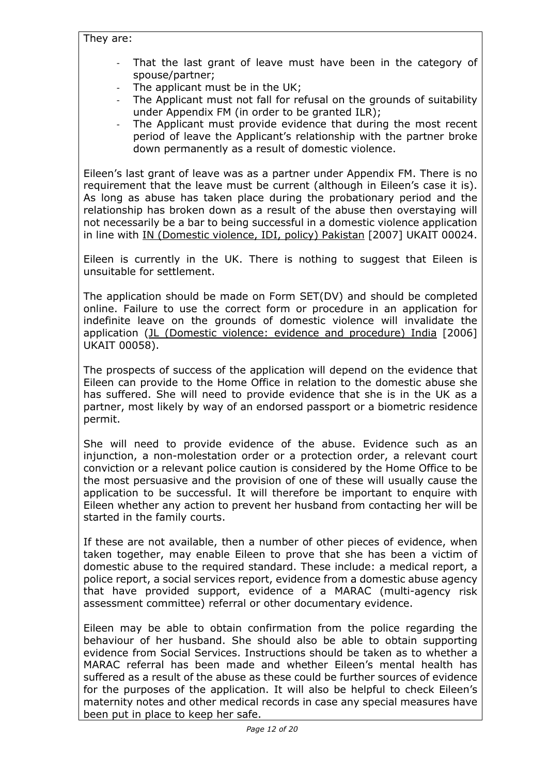#### They are:

- That the last grant of leave must have been in the category of spouse/partner;
- The applicant must be in the UK;
- The Applicant must not fall for refusal on the grounds of suitability under Appendix FM (in order to be granted ILR);
- The Applicant must provide evidence that during the most recent period of leave the Applicant's relationship with the partner broke down permanently as a result of domestic violence.

Eileen's last grant of leave was as a partner under Appendix FM. There is no requirement that the leave must be current (although in Eileen's case it is). As long as abuse has taken place during the probationary period and the relationship has broken down as a result of the abuse then overstaying will not necessarily be a bar to being successful in a domestic violence application in line with IN (Domestic violence, IDI, policy) Pakistan [2007] UKAIT 00024.

Eileen is currently in the UK. There is nothing to suggest that Eileen is unsuitable for settlement.

The application should be made on Form SET(DV) and should be completed online. Failure to use the correct form or procedure in an application for indefinite leave on the grounds of domestic violence will invalidate the application (JL (Domestic violence: evidence and procedure) India [2006] UKAIT 00058).

The prospects of success of the application will depend on the evidence that Eileen can provide to the Home Office in relation to the domestic abuse she has suffered. She will need to provide evidence that she is in the UK as a partner, most likely by way of an endorsed passport or a biometric residence permit.

She will need to provide evidence of the abuse. Evidence such as an injunction, a non-molestation order or a protection order, a relevant court conviction or a relevant police caution is considered by the Home Office to be the most persuasive and the provision of one of these will usually cause the application to be successful. It will therefore be important to enquire with Eileen whether any action to prevent her husband from contacting her will be started in the family courts.

If these are not available, then a number of other pieces of evidence, when taken together, may enable Eileen to prove that she has been a victim of domestic abuse to the required standard. These include: a medical report, a police report, a social services report, evidence from a domestic abuse agency that have provided support, evidence of a MARAC (multi-agency risk assessment committee) referral or other documentary evidence.

Eileen may be able to obtain confirmation from the police regarding the behaviour of her husband. She should also be able to obtain supporting evidence from Social Services. Instructions should be taken as to whether a MARAC referral has been made and whether Eileen's mental health has suffered as a result of the abuse as these could be further sources of evidence for the purposes of the application. It will also be helpful to check Eileen's maternity notes and other medical records in case any special measures have been put in place to keep her safe.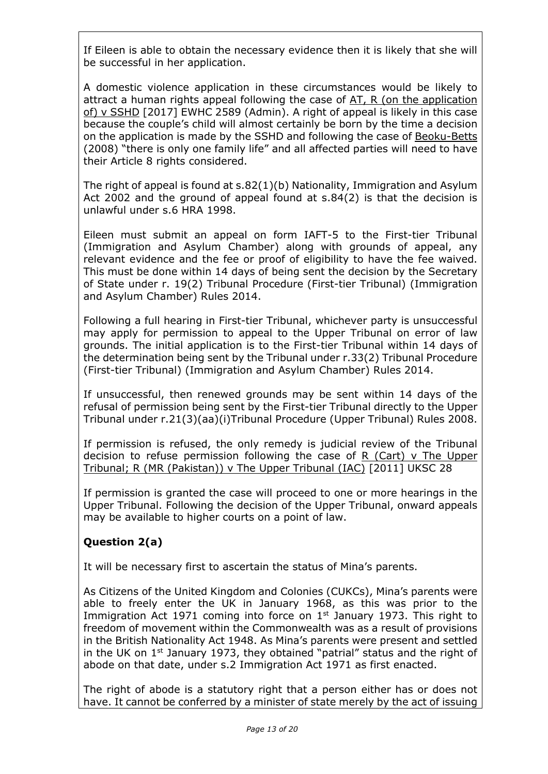If Eileen is able to obtain the necessary evidence then it is likely that she will be successful in her application.

A domestic violence application in these circumstances would be likely to attract a human rights appeal following the case of AT, R (on the application of) v SSHD [2017] EWHC 2589 (Admin). A right of appeal is likely in this case because the couple's child will almost certainly be born by the time a decision on the application is made by the SSHD and following the case of Beoku-Betts (2008) "there is only one family life" and all affected parties will need to have their Article 8 rights considered.

The right of appeal is found at s.82(1)(b) Nationality, Immigration and Asylum Act 2002 and the ground of appeal found at s.84(2) is that the decision is unlawful under s.6 HRA 1998.

Eileen must submit an appeal on form IAFT-5 to the First-tier Tribunal (Immigration and Asylum Chamber) along with grounds of appeal, any relevant evidence and the fee or proof of eligibility to have the fee waived. This must be done within 14 days of being sent the decision by the Secretary of State under r. 19(2) Tribunal Procedure (First-tier Tribunal) (Immigration and Asylum Chamber) Rules 2014.

Following a full hearing in First-tier Tribunal, whichever party is unsuccessful may apply for permission to appeal to the Upper Tribunal on error of law grounds. The initial application is to the First-tier Tribunal within 14 days of the determination being sent by the Tribunal under r.33(2) Tribunal Procedure (First-tier Tribunal) (Immigration and Asylum Chamber) Rules 2014.

If unsuccessful, then renewed grounds may be sent within 14 days of the refusal of permission being sent by the First-tier Tribunal directly to the Upper Tribunal under r.21(3)(aa)(i)Tribunal Procedure (Upper Tribunal) Rules 2008.

If permission is refused, the only remedy is judicial review of the Tribunal decision to refuse permission following the case of R (Cart) v The Upper Tribunal; R (MR (Pakistan)) v The Upper Tribunal (IAC) [2011] UKSC 28

If permission is granted the case will proceed to one or more hearings in the Upper Tribunal. Following the decision of the Upper Tribunal, onward appeals may be available to higher courts on a point of law.

# **Question 2(a)**

It will be necessary first to ascertain the status of Mina's parents.

As Citizens of the United Kingdom and Colonies (CUKCs), Mina's parents were able to freely enter the UK in January 1968, as this was prior to the Immigration Act 1971 coming into force on  $1<sup>st</sup>$  January 1973. This right to freedom of movement within the Commonwealth was as a result of provisions in the British Nationality Act 1948. As Mina's parents were present and settled in the UK on  $1<sup>st</sup>$  January 1973, they obtained "patrial" status and the right of abode on that date, under s.2 Immigration Act 1971 as first enacted.

The right of abode is a statutory right that a person either has or does not have. It cannot be conferred by a minister of state merely by the act of issuing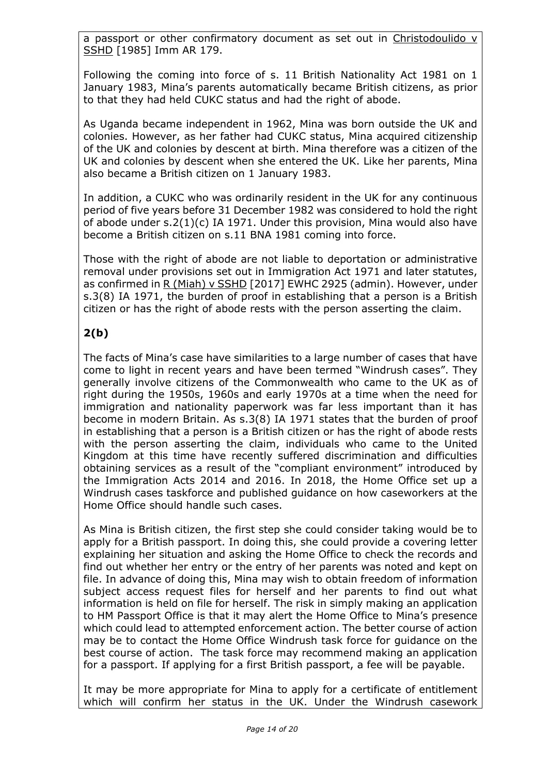a passport or other confirmatory document as set out in Christodoulido v SSHD [1985] Imm AR 179.

Following the coming into force of s. 11 British Nationality Act 1981 on 1 January 1983, Mina's parents automatically became British citizens, as prior to that they had held CUKC status and had the right of abode.

As Uganda became independent in 1962, Mina was born outside the UK and colonies. However, as her father had CUKC status, Mina acquired citizenship of the UK and colonies by descent at birth. Mina therefore was a citizen of the UK and colonies by descent when she entered the UK. Like her parents, Mina also became a British citizen on 1 January 1983.

In addition, a CUKC who was ordinarily resident in the UK for any continuous period of five years before 31 December 1982 was considered to hold the right of abode under s.2(1)(c) IA 1971. Under this provision, Mina would also have become a British citizen on s.11 BNA 1981 coming into force.

Those with the right of abode are not liable to deportation or administrative removal under provisions set out in Immigration Act 1971 and later statutes, as confirmed in R (Miah) v SSHD [2017] EWHC 2925 (admin). However, under s.3(8) IA 1971, the burden of proof in establishing that a person is a British citizen or has the right of abode rests with the person asserting the claim.

# **2(b)**

The facts of Mina's case have similarities to a large number of cases that have come to light in recent years and have been termed "Windrush cases". They generally involve citizens of the Commonwealth who came to the UK as of right during the 1950s, 1960s and early 1970s at a time when the need for immigration and nationality paperwork was far less important than it has become in modern Britain. As s.3(8) IA 1971 states that the burden of proof in establishing that a person is a British citizen or has the right of abode rests with the person asserting the claim, individuals who came to the United Kingdom at this time have recently suffered discrimination and difficulties obtaining services as a result of the "compliant environment" introduced by the Immigration Acts 2014 and 2016. In 2018, the Home Office set up a Windrush cases taskforce and published guidance on how caseworkers at the Home Office should handle such cases.

As Mina is British citizen, the first step she could consider taking would be to apply for a British passport. In doing this, she could provide a covering letter explaining her situation and asking the Home Office to check the records and find out whether her entry or the entry of her parents was noted and kept on file. In advance of doing this, Mina may wish to obtain freedom of information subject access request files for herself and her parents to find out what information is held on file for herself. The risk in simply making an application to HM Passport Office is that it may alert the Home Office to Mina's presence which could lead to attempted enforcement action. The better course of action may be to contact the Home Office Windrush task force for guidance on the best course of action. The task force may recommend making an application for a passport. If applying for a first British passport, a fee will be payable.

It may be more appropriate for Mina to apply for a certificate of entitlement which will confirm her status in the UK. Under the Windrush casework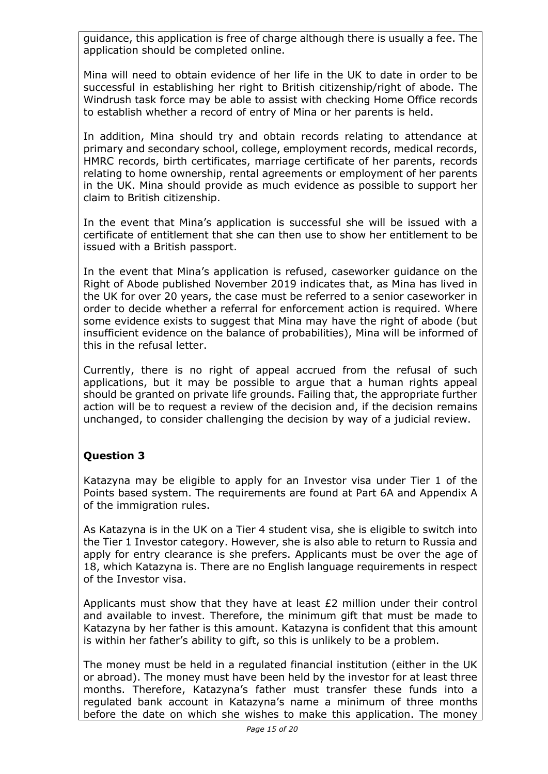guidance, this application is free of charge although there is usually a fee. The application should be completed online.

Mina will need to obtain evidence of her life in the UK to date in order to be successful in establishing her right to British citizenship/right of abode. The Windrush task force may be able to assist with checking Home Office records to establish whether a record of entry of Mina or her parents is held.

In addition, Mina should try and obtain records relating to attendance at primary and secondary school, college, employment records, medical records, HMRC records, birth certificates, marriage certificate of her parents, records relating to home ownership, rental agreements or employment of her parents in the UK. Mina should provide as much evidence as possible to support her claim to British citizenship.

In the event that Mina's application is successful she will be issued with a certificate of entitlement that she can then use to show her entitlement to be issued with a British passport.

In the event that Mina's application is refused, caseworker guidance on the Right of Abode published November 2019 indicates that, as Mina has lived in the UK for over 20 years, the case must be referred to a senior caseworker in order to decide whether a referral for enforcement action is required. Where some evidence exists to suggest that Mina may have the right of abode (but insufficient evidence on the balance of probabilities), Mina will be informed of this in the refusal letter.

Currently, there is no right of appeal accrued from the refusal of such applications, but it may be possible to argue that a human rights appeal should be granted on private life grounds. Failing that, the appropriate further action will be to request a review of the decision and, if the decision remains unchanged, to consider challenging the decision by way of a judicial review.

## **Question 3**

Katazyna may be eligible to apply for an Investor visa under Tier 1 of the Points based system. The requirements are found at Part 6A and Appendix A of the immigration rules.

As Katazyna is in the UK on a Tier 4 student visa, she is eligible to switch into the Tier 1 Investor category. However, she is also able to return to Russia and apply for entry clearance is she prefers. Applicants must be over the age of 18, which Katazyna is. There are no English language requirements in respect of the Investor visa.

Applicants must show that they have at least  $E2$  million under their control and available to invest. Therefore, the minimum gift that must be made to Katazyna by her father is this amount. Katazyna is confident that this amount is within her father's ability to gift, so this is unlikely to be a problem.

The money must be held in a regulated financial institution (either in the UK or abroad). The money must have been held by the investor for at least three months. Therefore, Katazyna's father must transfer these funds into a regulated bank account in Katazyna's name a minimum of three months before the date on which she wishes to make this application. The money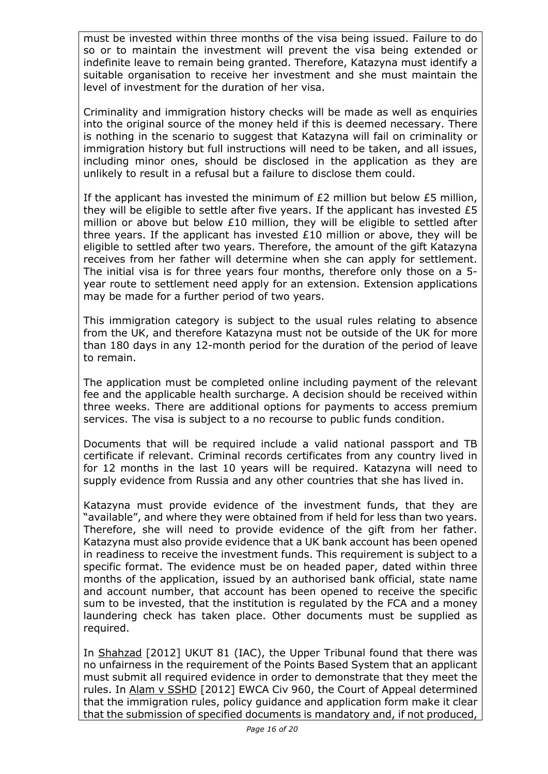must be invested within three months of the visa being issued. Failure to do so or to maintain the investment will prevent the visa being extended or indefinite leave to remain being granted. Therefore, Katazyna must identify a suitable organisation to receive her investment and she must maintain the level of investment for the duration of her visa.

Criminality and immigration history checks will be made as well as enquiries into the original source of the money held if this is deemed necessary. There is nothing in the scenario to suggest that Katazyna will fail on criminality or immigration history but full instructions will need to be taken, and all issues, including minor ones, should be disclosed in the application as they are unlikely to result in a refusal but a failure to disclose them could.

If the applicant has invested the minimum of  $E2$  million but below  $E5$  million, they will be eligible to settle after five years. If the applicant has invested £5 million or above but below £10 million, they will be eligible to settled after three years. If the applicant has invested £10 million or above, they will be eligible to settled after two years. Therefore, the amount of the gift Katazyna receives from her father will determine when she can apply for settlement. The initial visa is for three years four months, therefore only those on a 5 year route to settlement need apply for an extension. Extension applications may be made for a further period of two years.

This immigration category is subject to the usual rules relating to absence from the UK, and therefore Katazyna must not be outside of the UK for more than 180 days in any 12-month period for the duration of the period of leave to remain.

The application must be completed online including payment of the relevant fee and the applicable health surcharge. A decision should be received within three weeks. There are additional options for payments to access premium services. The visa is subject to a no recourse to public funds condition.

Documents that will be required include a valid national passport and TB certificate if relevant. Criminal records certificates from any country lived in for 12 months in the last 10 years will be required. Katazyna will need to supply evidence from Russia and any other countries that she has lived in.

Katazyna must provide evidence of the investment funds, that they are "available", and where they were obtained from if held for less than two years. Therefore, she will need to provide evidence of the gift from her father. Katazyna must also provide evidence that a UK bank account has been opened in readiness to receive the investment funds. This requirement is subject to a specific format. The evidence must be on headed paper, dated within three months of the application, issued by an authorised bank official, state name and account number, that account has been opened to receive the specific sum to be invested, that the institution is regulated by the FCA and a money laundering check has taken place. Other documents must be supplied as required.

In Shahzad [2012] UKUT 81 (IAC), the Upper Tribunal found that there was no unfairness in the requirement of the Points Based System that an applicant must submit all required evidence in order to demonstrate that they meet the rules. In Alam v SSHD [2012] EWCA Civ 960, the Court of Appeal determined that the immigration rules, policy guidance and application form make it clear that the submission of specified documents is mandatory and, if not produced,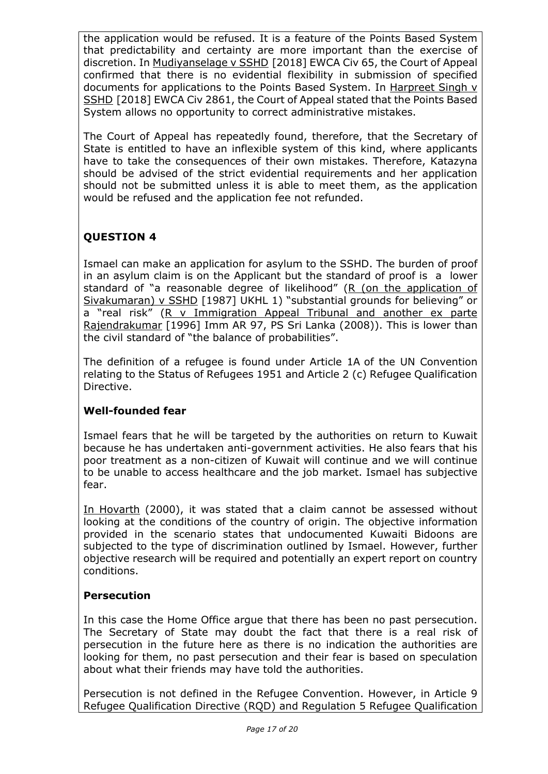the application would be refused. It is a feature of the Points Based System that predictability and certainty are more important than the exercise of discretion. In Mudiyanselage v SSHD [2018] EWCA Civ 65, the Court of Appeal confirmed that there is no evidential flexibility in submission of specified documents for applications to the Points Based System. In Harpreet Singh v SSHD [2018] EWCA Civ 2861, the Court of Appeal stated that the Points Based System allows no opportunity to correct administrative mistakes.

The Court of Appeal has repeatedly found, therefore, that the Secretary of State is entitled to have an inflexible system of this kind, where applicants have to take the consequences of their own mistakes. Therefore, Katazyna should be advised of the strict evidential requirements and her application should not be submitted unless it is able to meet them, as the application would be refused and the application fee not refunded.

# **QUESTION 4**

Ismael can make an application for asylum to the SSHD. The burden of proof in an asylum claim is on the Applicant but the standard of proof is a lower standard of "a reasonable degree of likelihood" (R (on the application of Sivakumaran) v SSHD [1987] UKHL 1) "substantial grounds for believing" or a "real risk" (R v Immigration Appeal Tribunal and another ex parte Rajendrakumar [1996] Imm AR 97, PS Sri Lanka (2008)). This is lower than the civil standard of "the balance of probabilities".

The definition of a refugee is found under Article 1A of the UN Convention relating to the Status of Refugees 1951 and Article 2 (c) Refugee Qualification Directive.

## **Well-founded fear**

Ismael fears that he will be targeted by the authorities on return to Kuwait because he has undertaken anti-government activities. He also fears that his poor treatment as a non-citizen of Kuwait will continue and we will continue to be unable to access healthcare and the job market. Ismael has subjective fear.

In Hovarth (2000), it was stated that a claim cannot be assessed without looking at the conditions of the country of origin. The objective information provided in the scenario states that undocumented Kuwaiti Bidoons are subjected to the type of discrimination outlined by Ismael. However, further objective research will be required and potentially an expert report on country conditions.

## **Persecution**

In this case the Home Office argue that there has been no past persecution. The Secretary of State may doubt the fact that there is a real risk of persecution in the future here as there is no indication the authorities are looking for them, no past persecution and their fear is based on speculation about what their friends may have told the authorities.

Persecution is not defined in the Refugee Convention. However, in Article 9 Refugee Qualification Directive (RQD) and Regulation 5 Refugee Qualification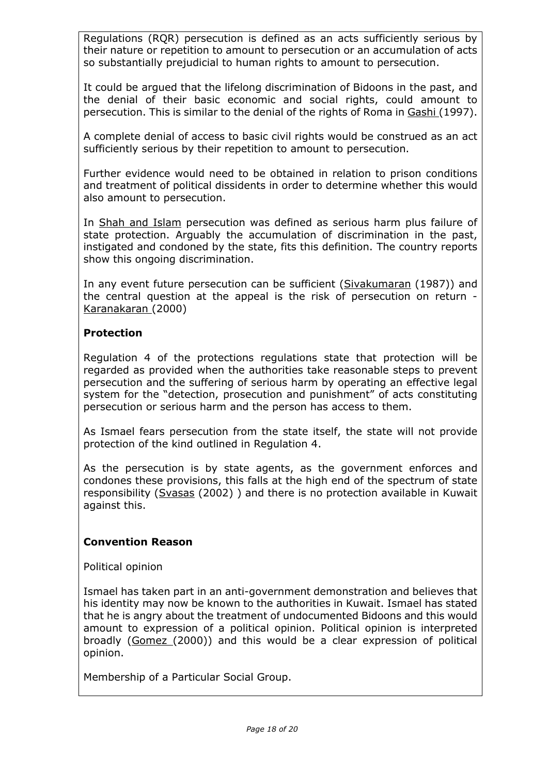Regulations (RQR) persecution is defined as an acts sufficiently serious by their nature or repetition to amount to persecution or an accumulation of acts so substantially prejudicial to human rights to amount to persecution.

It could be argued that the lifelong discrimination of Bidoons in the past, and the denial of their basic economic and social rights, could amount to persecution. This is similar to the denial of the rights of Roma in Gashi (1997).

A complete denial of access to basic civil rights would be construed as an act sufficiently serious by their repetition to amount to persecution.

Further evidence would need to be obtained in relation to prison conditions and treatment of political dissidents in order to determine whether this would also amount to persecution.

In Shah and Islam persecution was defined as serious harm plus failure of state protection. Arguably the accumulation of discrimination in the past, instigated and condoned by the state, fits this definition. The country reports show this ongoing discrimination.

In any event future persecution can be sufficient (Sivakumaran (1987)) and the central question at the appeal is the risk of persecution on return - Karanakaran (2000)

### **Protection**

Regulation 4 of the protections regulations state that protection will be regarded as provided when the authorities take reasonable steps to prevent persecution and the suffering of serious harm by operating an effective legal system for the "detection, prosecution and punishment" of acts constituting persecution or serious harm and the person has access to them.

As Ismael fears persecution from the state itself, the state will not provide protection of the kind outlined in Regulation 4.

As the persecution is by state agents, as the government enforces and condones these provisions, this falls at the high end of the spectrum of state responsibility (Svasas (2002) ) and there is no protection available in Kuwait against this.

### **Convention Reason**

Political opinion

Ismael has taken part in an anti-government demonstration and believes that his identity may now be known to the authorities in Kuwait. Ismael has stated that he is angry about the treatment of undocumented Bidoons and this would amount to expression of a political opinion. Political opinion is interpreted broadly (Gomez (2000)) and this would be a clear expression of political opinion.

Membership of a Particular Social Group.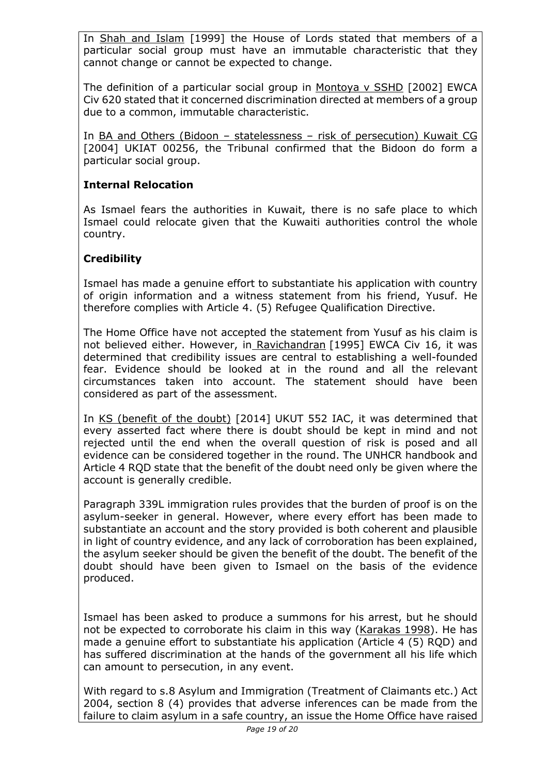In Shah and Islam [1999] the House of Lords stated that members of a particular social group must have an immutable characteristic that they cannot change or cannot be expected to change.

The definition of a particular social group in Montoya v SSHD [2002] EWCA Civ 620 stated that it concerned discrimination directed at members of a group due to a common, immutable characteristic.

In BA and Others (Bidoon – statelessness – risk of persecution) Kuwait CG [2004] UKIAT 00256, the Tribunal confirmed that the Bidoon do form a particular social group.

# **Internal Relocation**

As Ismael fears the authorities in Kuwait, there is no safe place to which Ismael could relocate given that the Kuwaiti authorities control the whole country.

# **Credibility**

Ismael has made a genuine effort to substantiate his application with country of origin information and a witness statement from his friend, Yusuf. He therefore complies with Article 4. (5) Refugee Qualification Directive.

The Home Office have not accepted the statement from Yusuf as his claim is not believed either. However, in Ravichandran [1995] EWCA Civ 16, it was determined that credibility issues are central to establishing a well-founded fear. Evidence should be looked at in the round and all the relevant circumstances taken into account. The statement should have been considered as part of the assessment.

In KS (benefit of the doubt) [2014] UKUT 552 IAC, it was determined that every asserted fact where there is doubt should be kept in mind and not rejected until the end when the overall question of risk is posed and all evidence can be considered together in the round. The UNHCR handbook and Article 4 RQD state that the benefit of the doubt need only be given where the account is generally credible.

Paragraph 339L immigration rules provides that the burden of proof is on the asylum-seeker in general. However, where every effort has been made to substantiate an account and the story provided is both coherent and plausible in light of country evidence, and any lack of corroboration has been explained, the asylum seeker should be given the benefit of the doubt. The benefit of the doubt should have been given to Ismael on the basis of the evidence produced.

Ismael has been asked to produce a summons for his arrest, but he should not be expected to corroborate his claim in this way (Karakas 1998). He has made a genuine effort to substantiate his application (Article 4 (5) RQD) and has suffered discrimination at the hands of the government all his life which can amount to persecution, in any event.

With regard to s.8 Asylum and Immigration (Treatment of Claimants etc.) Act 2004, section 8 (4) provides that adverse inferences can be made from the failure to claim asylum in a safe country, an issue the Home Office have raised